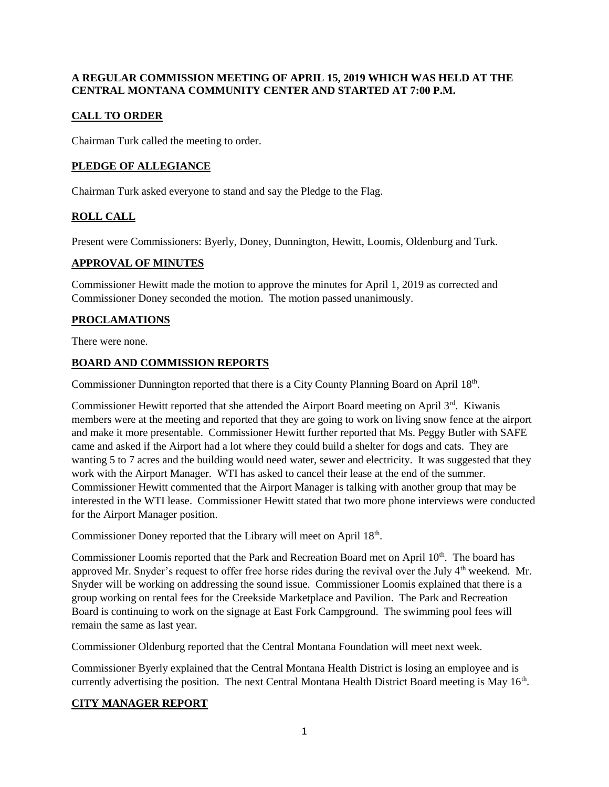## **A REGULAR COMMISSION MEETING OF APRIL 15, 2019 WHICH WAS HELD AT THE CENTRAL MONTANA COMMUNITY CENTER AND STARTED AT 7:00 P.M.**

# **CALL TO ORDER**

Chairman Turk called the meeting to order.

# **PLEDGE OF ALLEGIANCE**

Chairman Turk asked everyone to stand and say the Pledge to the Flag.

# **ROLL CALL**

Present were Commissioners: Byerly, Doney, Dunnington, Hewitt, Loomis, Oldenburg and Turk.

### **APPROVAL OF MINUTES**

Commissioner Hewitt made the motion to approve the minutes for April 1, 2019 as corrected and Commissioner Doney seconded the motion. The motion passed unanimously.

# **PROCLAMATIONS**

There were none.

### **BOARD AND COMMISSION REPORTS**

Commissioner Dunnington reported that there is a City County Planning Board on April 18<sup>th</sup>.

Commissioner Hewitt reported that she attended the Airport Board meeting on April 3<sup>rd</sup>. Kiwanis members were at the meeting and reported that they are going to work on living snow fence at the airport and make it more presentable. Commissioner Hewitt further reported that Ms. Peggy Butler with SAFE came and asked if the Airport had a lot where they could build a shelter for dogs and cats. They are wanting 5 to 7 acres and the building would need water, sewer and electricity. It was suggested that they work with the Airport Manager. WTI has asked to cancel their lease at the end of the summer. Commissioner Hewitt commented that the Airport Manager is talking with another group that may be interested in the WTI lease. Commissioner Hewitt stated that two more phone interviews were conducted for the Airport Manager position.

Commissioner Doney reported that the Library will meet on April 18<sup>th</sup>.

Commissioner Loomis reported that the Park and Recreation Board met on April 10<sup>th</sup>. The board has approved Mr. Snyder's request to offer free horse rides during the revival over the July  $4<sup>th</sup>$  weekend. Mr. Snyder will be working on addressing the sound issue. Commissioner Loomis explained that there is a group working on rental fees for the Creekside Marketplace and Pavilion. The Park and Recreation Board is continuing to work on the signage at East Fork Campground. The swimming pool fees will remain the same as last year.

Commissioner Oldenburg reported that the Central Montana Foundation will meet next week.

Commissioner Byerly explained that the Central Montana Health District is losing an employee and is currently advertising the position. The next Central Montana Health District Board meeting is May 16<sup>th</sup>.

#### **CITY MANAGER REPORT**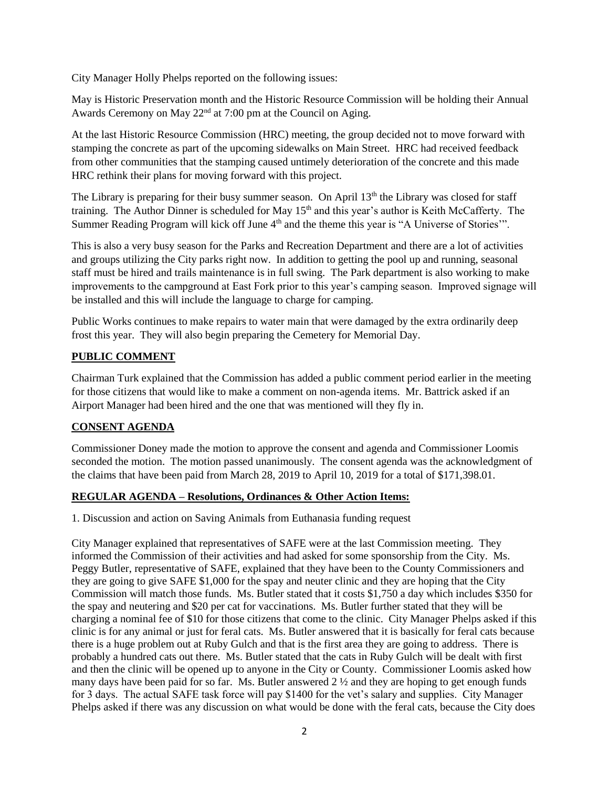City Manager Holly Phelps reported on the following issues:

May is Historic Preservation month and the Historic Resource Commission will be holding their Annual Awards Ceremony on May 22<sup>nd</sup> at 7:00 pm at the Council on Aging.

At the last Historic Resource Commission (HRC) meeting, the group decided not to move forward with stamping the concrete as part of the upcoming sidewalks on Main Street. HRC had received feedback from other communities that the stamping caused untimely deterioration of the concrete and this made HRC rethink their plans for moving forward with this project.

The Library is preparing for their busy summer season. On April 13<sup>th</sup> the Library was closed for staff training. The Author Dinner is scheduled for May  $15<sup>th</sup>$  and this year's author is Keith McCafferty. The Summer Reading Program will kick off June 4<sup>th</sup> and the theme this year is "A Universe of Stories".

This is also a very busy season for the Parks and Recreation Department and there are a lot of activities and groups utilizing the City parks right now. In addition to getting the pool up and running, seasonal staff must be hired and trails maintenance is in full swing. The Park department is also working to make improvements to the campground at East Fork prior to this year's camping season. Improved signage will be installed and this will include the language to charge for camping.

Public Works continues to make repairs to water main that were damaged by the extra ordinarily deep frost this year. They will also begin preparing the Cemetery for Memorial Day.

# **PUBLIC COMMENT**

Chairman Turk explained that the Commission has added a public comment period earlier in the meeting for those citizens that would like to make a comment on non-agenda items. Mr. Battrick asked if an Airport Manager had been hired and the one that was mentioned will they fly in.

# **CONSENT AGENDA**

Commissioner Doney made the motion to approve the consent and agenda and Commissioner Loomis seconded the motion. The motion passed unanimously. The consent agenda was the acknowledgment of the claims that have been paid from March 28, 2019 to April 10, 2019 for a total of \$171,398.01.

# **REGULAR AGENDA – Resolutions, Ordinances & Other Action Items:**

1. Discussion and action on Saving Animals from Euthanasia funding request

City Manager explained that representatives of SAFE were at the last Commission meeting. They informed the Commission of their activities and had asked for some sponsorship from the City. Ms. Peggy Butler, representative of SAFE, explained that they have been to the County Commissioners and they are going to give SAFE \$1,000 for the spay and neuter clinic and they are hoping that the City Commission will match those funds. Ms. Butler stated that it costs \$1,750 a day which includes \$350 for the spay and neutering and \$20 per cat for vaccinations. Ms. Butler further stated that they will be charging a nominal fee of \$10 for those citizens that come to the clinic. City Manager Phelps asked if this clinic is for any animal or just for feral cats. Ms. Butler answered that it is basically for feral cats because there is a huge problem out at Ruby Gulch and that is the first area they are going to address. There is probably a hundred cats out there. Ms. Butler stated that the cats in Ruby Gulch will be dealt with first and then the clinic will be opened up to anyone in the City or County. Commissioner Loomis asked how many days have been paid for so far. Ms. Butler answered 2 ½ and they are hoping to get enough funds for 3 days. The actual SAFE task force will pay \$1400 for the vet's salary and supplies. City Manager Phelps asked if there was any discussion on what would be done with the feral cats, because the City does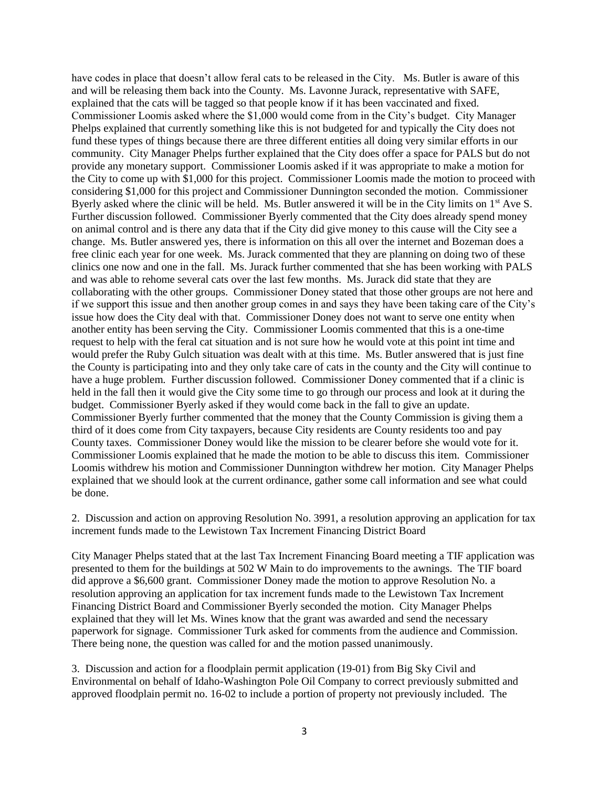have codes in place that doesn't allow feral cats to be released in the City. Ms. Butler is aware of this and will be releasing them back into the County. Ms. Lavonne Jurack, representative with SAFE, explained that the cats will be tagged so that people know if it has been vaccinated and fixed. Commissioner Loomis asked where the \$1,000 would come from in the City's budget. City Manager Phelps explained that currently something like this is not budgeted for and typically the City does not fund these types of things because there are three different entities all doing very similar efforts in our community. City Manager Phelps further explained that the City does offer a space for PALS but do not provide any monetary support. Commissioner Loomis asked if it was appropriate to make a motion for the City to come up with \$1,000 for this project. Commissioner Loomis made the motion to proceed with considering \$1,000 for this project and Commissioner Dunnington seconded the motion. Commissioner Byerly asked where the clinic will be held. Ms. Butler answered it will be in the City limits on 1<sup>st</sup> Ave S. Further discussion followed. Commissioner Byerly commented that the City does already spend money on animal control and is there any data that if the City did give money to this cause will the City see a change. Ms. Butler answered yes, there is information on this all over the internet and Bozeman does a free clinic each year for one week. Ms. Jurack commented that they are planning on doing two of these clinics one now and one in the fall. Ms. Jurack further commented that she has been working with PALS and was able to rehome several cats over the last few months. Ms. Jurack did state that they are collaborating with the other groups. Commissioner Doney stated that those other groups are not here and if we support this issue and then another group comes in and says they have been taking care of the City's issue how does the City deal with that. Commissioner Doney does not want to serve one entity when another entity has been serving the City. Commissioner Loomis commented that this is a one-time request to help with the feral cat situation and is not sure how he would vote at this point int time and would prefer the Ruby Gulch situation was dealt with at this time. Ms. Butler answered that is just fine the County is participating into and they only take care of cats in the county and the City will continue to have a huge problem. Further discussion followed. Commissioner Doney commented that if a clinic is held in the fall then it would give the City some time to go through our process and look at it during the budget. Commissioner Byerly asked if they would come back in the fall to give an update. Commissioner Byerly further commented that the money that the County Commission is giving them a third of it does come from City taxpayers, because City residents are County residents too and pay County taxes. Commissioner Doney would like the mission to be clearer before she would vote for it. Commissioner Loomis explained that he made the motion to be able to discuss this item. Commissioner Loomis withdrew his motion and Commissioner Dunnington withdrew her motion. City Manager Phelps explained that we should look at the current ordinance, gather some call information and see what could be done.

2. Discussion and action on approving Resolution No. 3991, a resolution approving an application for tax increment funds made to the Lewistown Tax Increment Financing District Board

City Manager Phelps stated that at the last Tax Increment Financing Board meeting a TIF application was presented to them for the buildings at 502 W Main to do improvements to the awnings. The TIF board did approve a \$6,600 grant. Commissioner Doney made the motion to approve Resolution No. a resolution approving an application for tax increment funds made to the Lewistown Tax Increment Financing District Board and Commissioner Byerly seconded the motion. City Manager Phelps explained that they will let Ms. Wines know that the grant was awarded and send the necessary paperwork for signage. Commissioner Turk asked for comments from the audience and Commission. There being none, the question was called for and the motion passed unanimously.

3. Discussion and action for a floodplain permit application (19-01) from Big Sky Civil and Environmental on behalf of Idaho-Washington Pole Oil Company to correct previously submitted and approved floodplain permit no. 16-02 to include a portion of property not previously included. The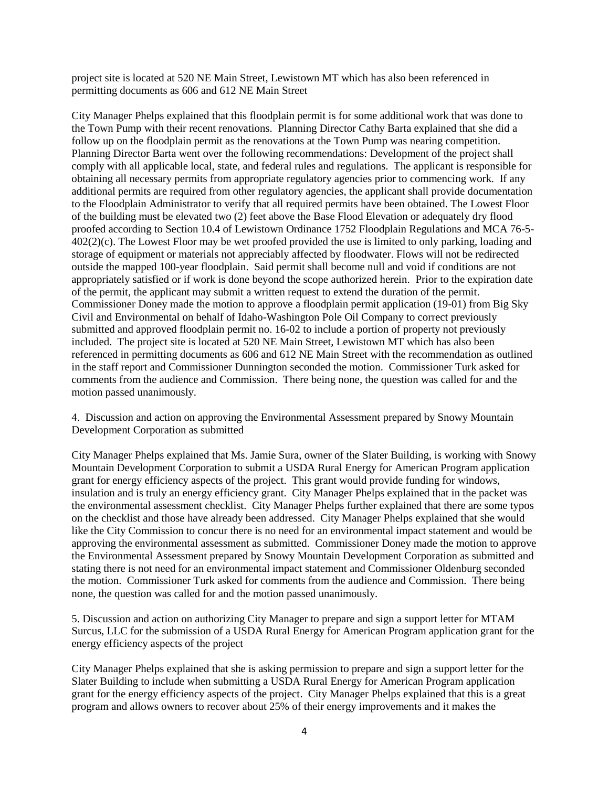project site is located at 520 NE Main Street, Lewistown MT which has also been referenced in permitting documents as 606 and 612 NE Main Street

City Manager Phelps explained that this floodplain permit is for some additional work that was done to the Town Pump with their recent renovations. Planning Director Cathy Barta explained that she did a follow up on the floodplain permit as the renovations at the Town Pump was nearing competition. Planning Director Barta went over the following recommendations: Development of the project shall comply with all applicable local, state, and federal rules and regulations. The applicant is responsible for obtaining all necessary permits from appropriate regulatory agencies prior to commencing work. If any additional permits are required from other regulatory agencies, the applicant shall provide documentation to the Floodplain Administrator to verify that all required permits have been obtained. The Lowest Floor of the building must be elevated two (2) feet above the Base Flood Elevation or adequately dry flood proofed according to Section 10.4 of Lewistown Ordinance 1752 Floodplain Regulations and MCA 76-5- 402(2)(c). The Lowest Floor may be wet proofed provided the use is limited to only parking, loading and storage of equipment or materials not appreciably affected by floodwater. Flows will not be redirected outside the mapped 100-year floodplain. Said permit shall become null and void if conditions are not appropriately satisfied or if work is done beyond the scope authorized herein. Prior to the expiration date of the permit, the applicant may submit a written request to extend the duration of the permit. Commissioner Doney made the motion to approve a floodplain permit application (19-01) from Big Sky Civil and Environmental on behalf of Idaho-Washington Pole Oil Company to correct previously submitted and approved floodplain permit no. 16-02 to include a portion of property not previously included. The project site is located at 520 NE Main Street, Lewistown MT which has also been referenced in permitting documents as 606 and 612 NE Main Street with the recommendation as outlined in the staff report and Commissioner Dunnington seconded the motion. Commissioner Turk asked for comments from the audience and Commission. There being none, the question was called for and the motion passed unanimously.

4. Discussion and action on approving the Environmental Assessment prepared by Snowy Mountain Development Corporation as submitted

City Manager Phelps explained that Ms. Jamie Sura, owner of the Slater Building, is working with Snowy Mountain Development Corporation to submit a USDA Rural Energy for American Program application grant for energy efficiency aspects of the project. This grant would provide funding for windows, insulation and is truly an energy efficiency grant. City Manager Phelps explained that in the packet was the environmental assessment checklist. City Manager Phelps further explained that there are some typos on the checklist and those have already been addressed. City Manager Phelps explained that she would like the City Commission to concur there is no need for an environmental impact statement and would be approving the environmental assessment as submitted. Commissioner Doney made the motion to approve the Environmental Assessment prepared by Snowy Mountain Development Corporation as submitted and stating there is not need for an environmental impact statement and Commissioner Oldenburg seconded the motion. Commissioner Turk asked for comments from the audience and Commission. There being none, the question was called for and the motion passed unanimously.

5. Discussion and action on authorizing City Manager to prepare and sign a support letter for MTAM Surcus, LLC for the submission of a USDA Rural Energy for American Program application grant for the energy efficiency aspects of the project

City Manager Phelps explained that she is asking permission to prepare and sign a support letter for the Slater Building to include when submitting a USDA Rural Energy for American Program application grant for the energy efficiency aspects of the project. City Manager Phelps explained that this is a great program and allows owners to recover about 25% of their energy improvements and it makes the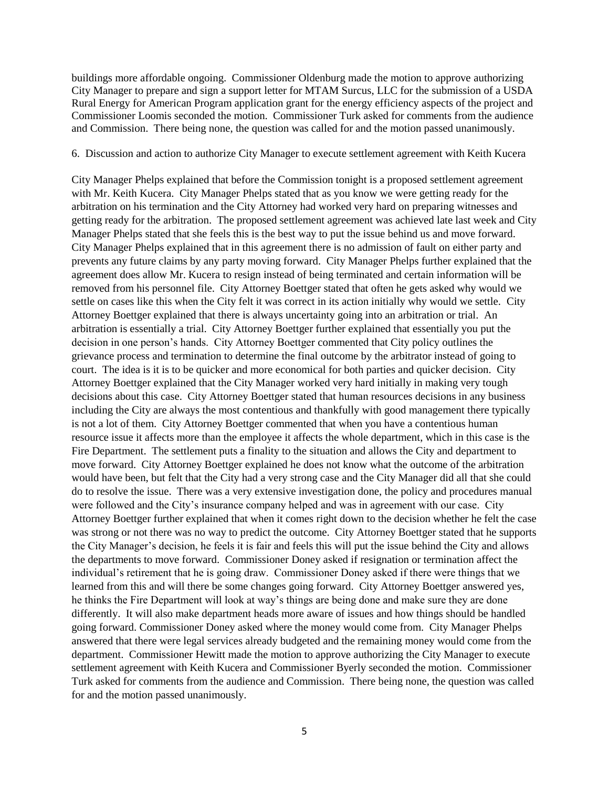buildings more affordable ongoing. Commissioner Oldenburg made the motion to approve authorizing City Manager to prepare and sign a support letter for MTAM Surcus, LLC for the submission of a USDA Rural Energy for American Program application grant for the energy efficiency aspects of the project and Commissioner Loomis seconded the motion. Commissioner Turk asked for comments from the audience and Commission. There being none, the question was called for and the motion passed unanimously.

#### 6. Discussion and action to authorize City Manager to execute settlement agreement with Keith Kucera

City Manager Phelps explained that before the Commission tonight is a proposed settlement agreement with Mr. Keith Kucera. City Manager Phelps stated that as you know we were getting ready for the arbitration on his termination and the City Attorney had worked very hard on preparing witnesses and getting ready for the arbitration. The proposed settlement agreement was achieved late last week and City Manager Phelps stated that she feels this is the best way to put the issue behind us and move forward. City Manager Phelps explained that in this agreement there is no admission of fault on either party and prevents any future claims by any party moving forward. City Manager Phelps further explained that the agreement does allow Mr. Kucera to resign instead of being terminated and certain information will be removed from his personnel file. City Attorney Boettger stated that often he gets asked why would we settle on cases like this when the City felt it was correct in its action initially why would we settle. City Attorney Boettger explained that there is always uncertainty going into an arbitration or trial. An arbitration is essentially a trial. City Attorney Boettger further explained that essentially you put the decision in one person's hands. City Attorney Boettger commented that City policy outlines the grievance process and termination to determine the final outcome by the arbitrator instead of going to court. The idea is it is to be quicker and more economical for both parties and quicker decision. City Attorney Boettger explained that the City Manager worked very hard initially in making very tough decisions about this case. City Attorney Boettger stated that human resources decisions in any business including the City are always the most contentious and thankfully with good management there typically is not a lot of them. City Attorney Boettger commented that when you have a contentious human resource issue it affects more than the employee it affects the whole department, which in this case is the Fire Department. The settlement puts a finality to the situation and allows the City and department to move forward. City Attorney Boettger explained he does not know what the outcome of the arbitration would have been, but felt that the City had a very strong case and the City Manager did all that she could do to resolve the issue. There was a very extensive investigation done, the policy and procedures manual were followed and the City's insurance company helped and was in agreement with our case. City Attorney Boettger further explained that when it comes right down to the decision whether he felt the case was strong or not there was no way to predict the outcome. City Attorney Boettger stated that he supports the City Manager's decision, he feels it is fair and feels this will put the issue behind the City and allows the departments to move forward. Commissioner Doney asked if resignation or termination affect the individual's retirement that he is going draw. Commissioner Doney asked if there were things that we learned from this and will there be some changes going forward. City Attorney Boettger answered yes, he thinks the Fire Department will look at way's things are being done and make sure they are done differently. It will also make department heads more aware of issues and how things should be handled going forward. Commissioner Doney asked where the money would come from. City Manager Phelps answered that there were legal services already budgeted and the remaining money would come from the department. Commissioner Hewitt made the motion to approve authorizing the City Manager to execute settlement agreement with Keith Kucera and Commissioner Byerly seconded the motion. Commissioner Turk asked for comments from the audience and Commission. There being none, the question was called for and the motion passed unanimously.